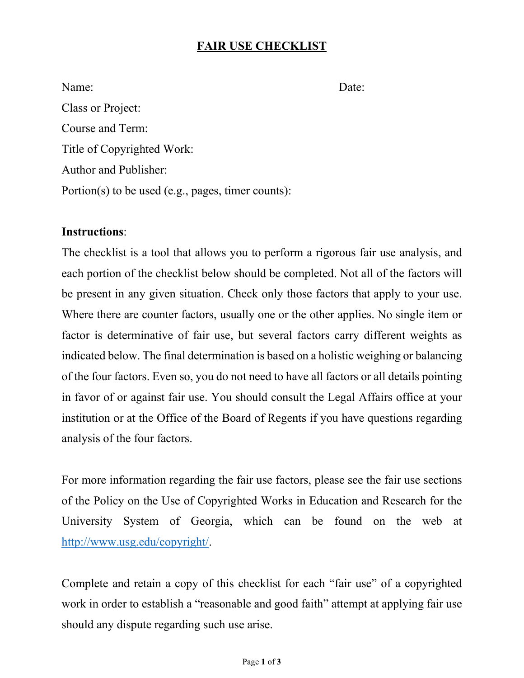### **FAIR USE CHECKLIST**

| Name:                                              | $\text{Date}^{\star}$ |
|----------------------------------------------------|-----------------------|
| Class or Project:                                  |                       |
| Course and Term:                                   |                       |
| Title of Copyrighted Work:                         |                       |
| Author and Publisher:                              |                       |
| Portion(s) to be used (e.g., pages, timer counts): |                       |

#### **Instructions**:

The checklist is a tool that allows you to perform a rigorous fair use analysis, and each portion of the checklist below should be completed. Not all of the factors will be present in any given situation. Check only those factors that apply to your use. Where there are counter factors, usually one or the other applies. No single item or factor is determinative of fair use, but several factors carry different weights as indicated below. The final determination is based on a holistic weighing or balancing of the four factors. Even so, you do not need to have all factors or all details pointing in favor of or against fair use. You should consult the Legal Affairs office at your institution or at the Office of the Board of Regents if you have questions regarding analysis of the four factors.

For more information regarding the fair use factors, please see the fair use sections of the Policy on the Use of Copyrighted Works in Education and Research for the University System of Georgia, which can be found on the web at [http://www.usg.edu/copyright/.](http://www.usg.edu/copyright/)

Complete and retain a copy of this checklist for each "fair use" of a copyrighted work in order to establish a "reasonable and good faith" attempt at applying fair use should any dispute regarding such use arise.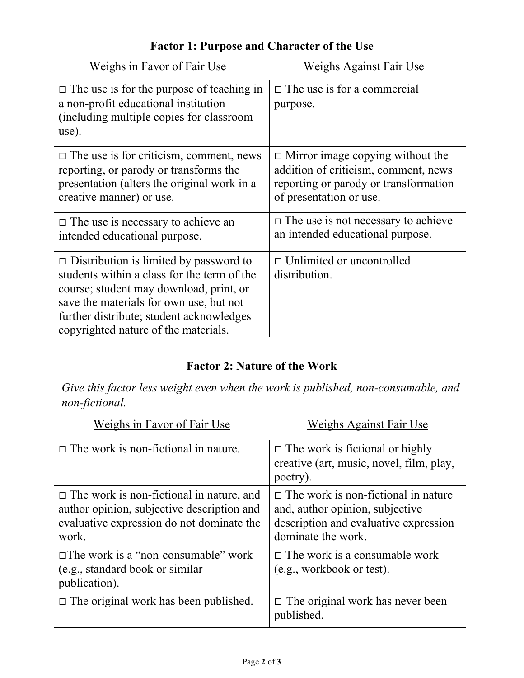# **Factor 1: Purpose and Character of the Use**

| Weighs in Favor of Fair Use                                                                                                                                                                                                                                            | Weighs Against Fair Use                                                                                                                             |
|------------------------------------------------------------------------------------------------------------------------------------------------------------------------------------------------------------------------------------------------------------------------|-----------------------------------------------------------------------------------------------------------------------------------------------------|
| $\Box$ The use is for the purpose of teaching in<br>a non-profit educational institution<br>(including multiple copies for classroom<br>use).                                                                                                                          | $\Box$ The use is for a commercial<br>purpose.                                                                                                      |
| $\Box$ The use is for criticism, comment, news<br>reporting, or parody or transforms the<br>presentation (alters the original work in a<br>creative manner) or use.                                                                                                    | $\Box$ Mirror image copying without the<br>addition of criticism, comment, news<br>reporting or parody or transformation<br>of presentation or use. |
| $\Box$ The use is necessary to achieve an<br>intended educational purpose.                                                                                                                                                                                             | $\Box$ The use is not necessary to achieve<br>an intended educational purpose.                                                                      |
| $\Box$ Distribution is limited by password to<br>students within a class for the term of the<br>course; student may download, print, or<br>save the materials for own use, but not<br>further distribute; student acknowledges<br>copyrighted nature of the materials. | $\Box$ Unlimited or uncontrolled<br>distribution.                                                                                                   |

## **Factor 2: Nature of the Work**

*Give this factor less weight even when the work is published, non-consumable, and non-fictional.* 

| Weighs in Favor of Fair Use                                                                                                                         | Weighs Against Fair Use                                                                                                                      |
|-----------------------------------------------------------------------------------------------------------------------------------------------------|----------------------------------------------------------------------------------------------------------------------------------------------|
| $\Box$ The work is non-fictional in nature.                                                                                                         | $\Box$ The work is fictional or highly<br>creative (art, music, novel, film, play,<br>poetry).                                               |
| $\Box$ The work is non-fictional in nature, and<br>author opinion, subjective description and<br>evaluative expression do not dominate the<br>work. | $\Box$ The work is non-fictional in nature<br>and, author opinion, subjective<br>description and evaluative expression<br>dominate the work. |
| $\square$ The work is a "non-consumable" work<br>(e.g., standard book or similar)<br>publication).                                                  | $\Box$ The work is a consumable work<br>(e.g., workbook or test).                                                                            |
| $\Box$ The original work has been published.                                                                                                        | $\Box$ The original work has never been<br>published.                                                                                        |